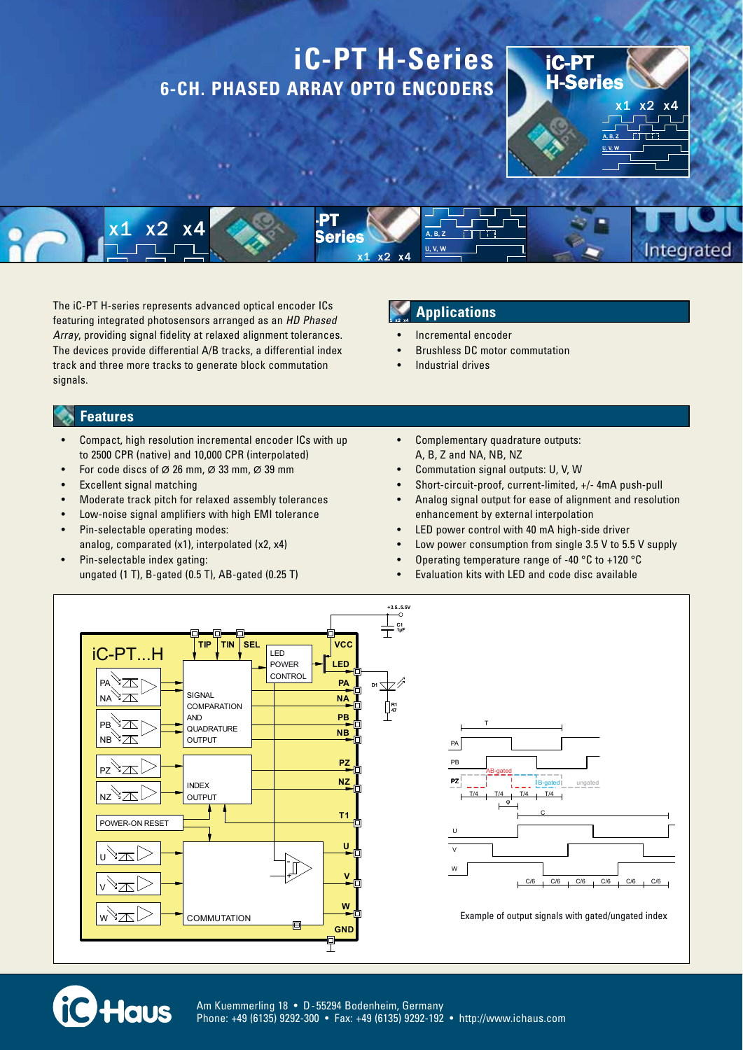

The iC-PT H-series represents advanced optical encoder ICs featuring integrated photosensors arranged as an HD Phased Array, providing signal fidelity at relaxed alignment tolerances. The devices provide differential A/B tracks, a differential index track and three more tracks to generate block commutation signals.

## **Applications**

- Incremental encoder
- **Brushless DC motor commutation**
- Industrial drives

#### **Features**

- Compact, high resolution incremental encoder ICs with up to 2500 CPR (native) and 10,000 CPR (interpolated)
- For code discs of  $\varnothing$  26 mm,  $\varnothing$  33 mm,  $\varnothing$  39 mm
- **Excellent signal matching**
- Moderate track pitch for relaxed assembly tolerances
- Low-noise signal amplifiers with high EMI tolerance
- Pin-selectable operating modes: analog, comparated (x1), interpolated (x2, x4)
- Pin-selectable index gating: ungated (1 T), B-gated (0.5 T), AB-gated (0.25 T)
- Complementary quadrature outputs: A, B, Z and NA, NB, NZ
- Commutation signal outputs: U, V, W
- Short-circuit-proof, current-limited, +/- 4mA push-pull
- Analog signal output for ease of alignment and resolution enhancement by external interpolation
- LED power control with 40 mA high-side driver
- Low power consumption from single 3.5 V to 5.5 V supply
- Operating temperature range of -40 °C to +120 °C
- Evaluation kits with LED and code disc available





Example of output signals with gated/ungated index